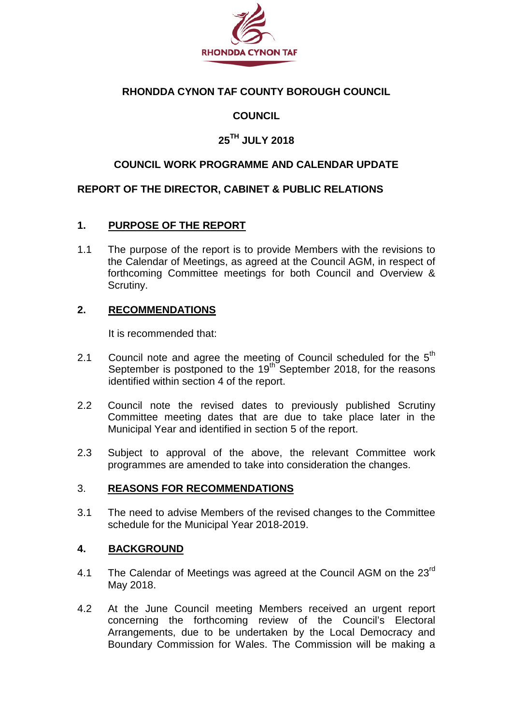

### **RHONDDA CYNON TAF COUNTY BOROUGH COUNCIL**

## **COUNCIL**

## **25TH JULY 2018**

### **COUNCIL WORK PROGRAMME AND CALENDAR UPDATE**

#### **REPORT OF THE DIRECTOR, CABINET & PUBLIC RELATIONS**

#### **1. PURPOSE OF THE REPORT**

1.1 The purpose of the report is to provide Members with the revisions to the Calendar of Meetings, as agreed at the Council AGM, in respect of forthcoming Committee meetings for both Council and Overview & Scrutiny.

#### **2. RECOMMENDATIONS**

It is recommended that:

- 2.1 Council note and agree the meeting of Council scheduled for the  $5<sup>th</sup>$ September is postponed to the  $19<sup>th</sup>$  September 2018, for the reasons identified within section 4 of the report.
- 2.2 Council note the revised dates to previously published Scrutiny Committee meeting dates that are due to take place later in the Municipal Year and identified in section 5 of the report.
- 2.3 Subject to approval of the above, the relevant Committee work programmes are amended to take into consideration the changes.

#### 3. **REASONS FOR RECOMMENDATIONS**

3.1 The need to advise Members of the revised changes to the Committee schedule for the Municipal Year 2018-2019.

#### **4. BACKGROUND**

- 4.1 The Calendar of Meetings was agreed at the Council AGM on the  $23<sup>rd</sup>$ May 2018.
- 4.2 At the June Council meeting Members received an urgent report concerning the forthcoming review of the Council's Electoral Arrangements, due to be undertaken by the Local Democracy and Boundary Commission for Wales. The Commission will be making a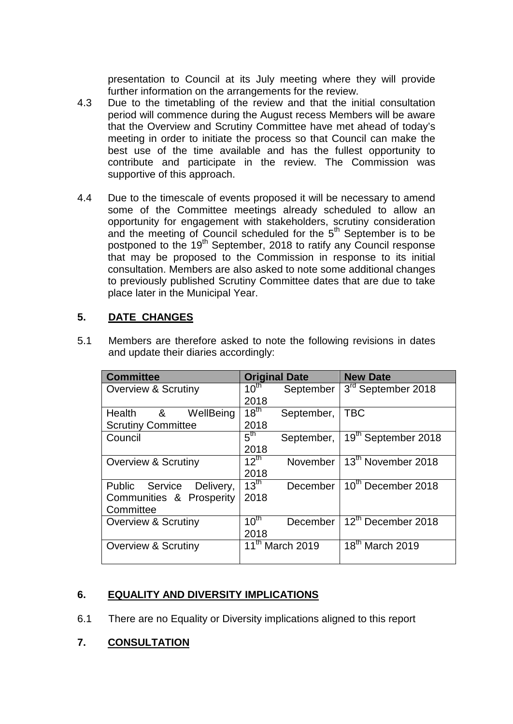presentation to Council at its July meeting where they will provide further information on the arrangements for the review.

- 4.3 Due to the timetabling of the review and that the initial consultation period will commence during the August recess Members will be aware that the Overview and Scrutiny Committee have met ahead of today's meeting in order to initiate the process so that Council can make the best use of the time available and has the fullest opportunity to contribute and participate in the review. The Commission was supportive of this approach.
- 4.4 Due to the timescale of events proposed it will be necessary to amend some of the Committee meetings already scheduled to allow an opportunity for engagement with stakeholders, scrutiny consideration and the meeting of Council scheduled for the  $5<sup>th</sup>$  September is to be postponed to the 19<sup>th</sup> September, 2018 to ratify any Council response that may be proposed to the Commission in response to its initial consultation. Members are also asked to note some additional changes to previously published Scrutiny Committee dates that are due to take place later in the Municipal Year.

## **5. DATE CHANGES**

| <b>Committee</b>               | <b>Original Date</b> |            | <b>New Date</b>                |
|--------------------------------|----------------------|------------|--------------------------------|
| <b>Overview &amp; Scrutiny</b> | $10^{th}$            | September  | $3rd$ September 2018           |
|                                | 2018                 |            |                                |
| &<br>Health<br>WellBeing       | $18^{\text{th}}$     | September, | <b>TBC</b>                     |
| <b>Scrutiny Committee</b>      | 2018                 |            |                                |
| Council                        | $5^{\text{th}}$      | September, | 19th September 2018            |
|                                | 2018                 |            |                                |
| <b>Overview &amp; Scrutiny</b> | $12^{\text{th}}$     | November   | 13 <sup>th</sup> November 2018 |
|                                | 2018                 |            |                                |
| Delivery,<br>Public Service    | $13^{\text{th}}$     | December   | 10th December 2018             |
| Communities & Prosperity       | 2018                 |            |                                |
| Committee                      |                      |            |                                |
| <b>Overview &amp; Scrutiny</b> | 10 <sup>th</sup>     | December   | 12th December 2018             |
|                                | 2018                 |            |                                |
| <b>Overview &amp; Scrutiny</b> | 11th March 2019      |            | 18 <sup>th</sup> March 2019    |
|                                |                      |            |                                |

5.1 Members are therefore asked to note the following revisions in dates and update their diaries accordingly:

### **6. EQUALITY AND DIVERSITY IMPLICATIONS**

6.1 There are no Equality or Diversity implications aligned to this report

## **7. CONSULTATION**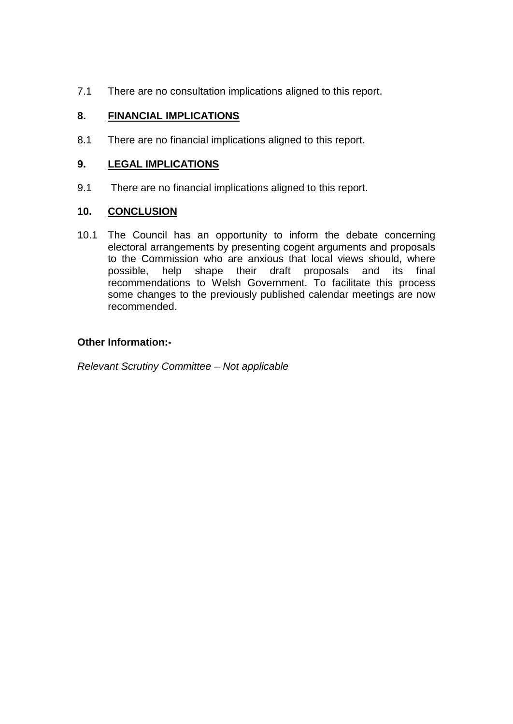7.1 There are no consultation implications aligned to this report.

#### **8. FINANCIAL IMPLICATIONS**

8.1 There are no financial implications aligned to this report.

#### **9. LEGAL IMPLICATIONS**

9.1 There are no financial implications aligned to this report.

#### **10. CONCLUSION**

10.1 The Council has an opportunity to inform the debate concerning electoral arrangements by presenting cogent arguments and proposals to the Commission who are anxious that local views should, where possible, help shape their draft proposals and its final recommendations to Welsh Government. To facilitate this process some changes to the previously published calendar meetings are now recommended.

#### **Other Information:-**

*Relevant Scrutiny Committee – Not applicable*